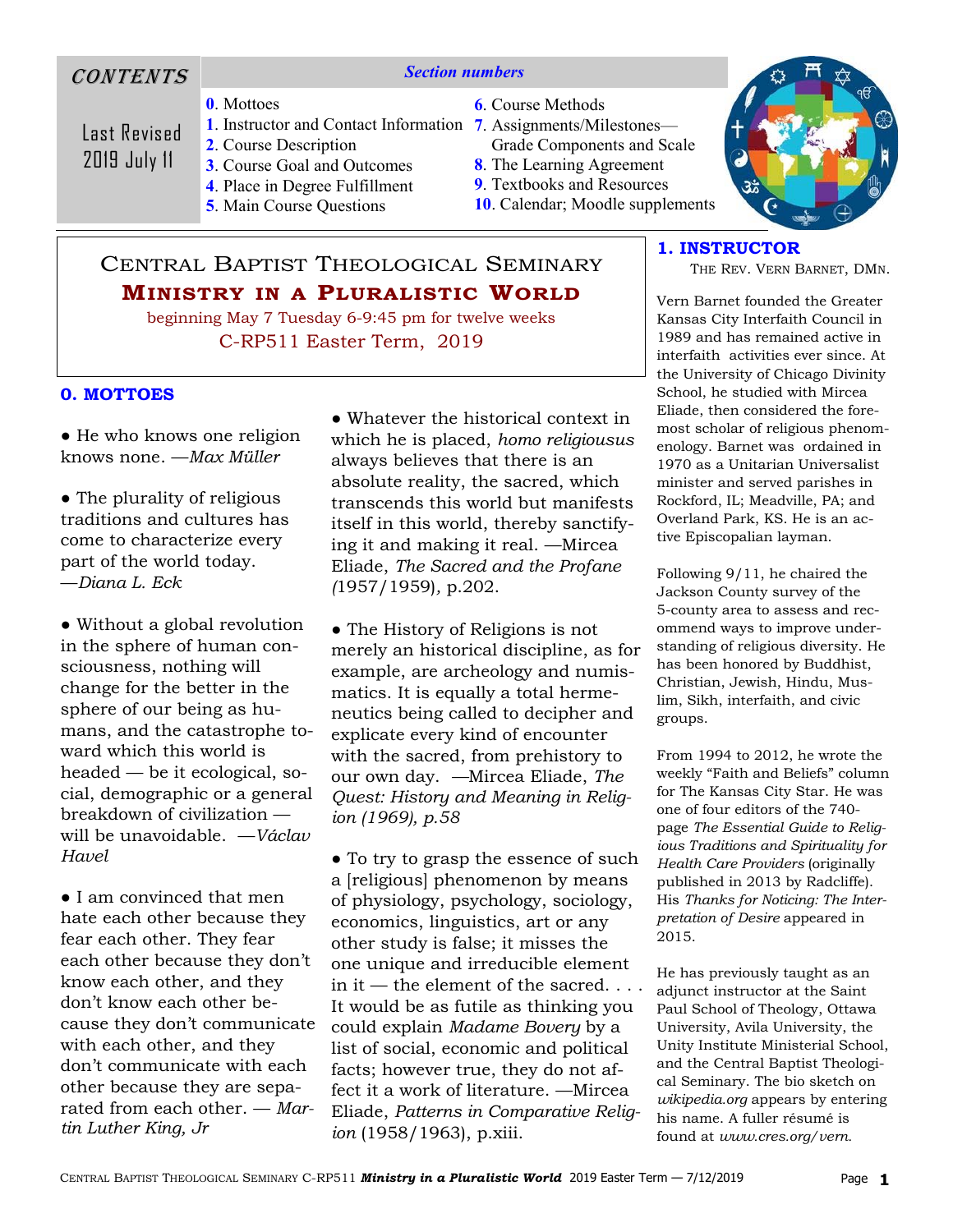# **CONTENTS**

### *Section numbers*

**0**. Mottoes

Last Revised 2019 July 11

- 
- **2**. Course Description
- **3**. Course Goal and Outcomes
	- **4**. Place in Degree Fulfillment
	- **5**. Main Course Questions
- **6**. Course Methods
- **1**. Instructor and Contact Information **7**. Assignments/Milestones— Grade Components and Scale
	- **8**. The Learning Agreement
	- **9**. Textbooks and Resources
	- **10**. Calendar; Moodle supplements

# CENTRAL BAPTIST THEOLOGICAL SEMINARY **MINISTRY IN A PLURALISTIC WORLD**

beginning May 7 Tuesday 6-9:45 pm for twelve weeks C-RP511 Easter Term, 2019

### **0. MOTTOES**

● He who knows one religion knows none. —*Max Müller* 

• The plurality of religious traditions and cultures has come to characterize every part of the world today. —*Diana L. Eck*

● Without a global revolution in the sphere of human consciousness, nothing will change for the better in the sphere of our being as humans, and the catastrophe toward which this world is headed — be it ecological, social, demographic or a general breakdown of civilization will be unavoidable. —*Václav Havel* 

● I am convinced that men hate each other because they fear each other. They fear each other because they don't know each other, and they don't know each other because they don't communicate with each other, and they don't communicate with each other because they are separated from each other. — *Martin Luther King, Jr*

● Whatever the historical context in which he is placed, *homo religiousus*  always believes that there is an absolute reality, the sacred, which transcends this world but manifests itself in this world, thereby sanctifying it and making it real. —Mircea Eliade, *The Sacred and the Profane (*1957/1959)*,* p.202.

● The History of Religions is not merely an historical discipline, as for example, are archeology and numismatics. It is equally a total hermeneutics being called to decipher and explicate every kind of encounter with the sacred, from prehistory to our own day. *—*Mircea Eliade, *The Quest: History and Meaning in Religion (1969), p.58* 

• To try to grasp the essence of such a [religious] phenomenon by means of physiology, psychology, sociology, economics, linguistics, art or any other study is false; it misses the one unique and irreducible element in it — the element of the sacred. . . . It would be as futile as thinking you could explain *Madame Bovery* by a list of social, economic and political facts; however true, they do not affect it a work of literature. —Mircea Eliade, *Patterns in Comparative Religion* (1958/1963), p.xiii.



# **1. INSTRUCTOR**

THE REV. VERN BARNET, DMN.

Vern Barnet founded the Greater Kansas City Interfaith Council in 1989 and has remained active in interfaith activities ever since. At the University of Chicago Divinity School, he studied with Mircea Eliade, then considered the foremost scholar of religious phenomenology. Barnet was ordained in 1970 as a Unitarian Universalist minister and served parishes in Rockford, IL; Meadville, PA; and Overland Park, KS. He is an active Episcopalian layman.

Following 9/11, he chaired the Jackson County survey of the 5-county area to assess and recommend ways to improve understanding of religious diversity. He has been honored by Buddhist, Christian, Jewish, Hindu, Muslim, Sikh, interfaith, and civic groups.

From 1994 to 2012, he wrote the weekly "Faith and Beliefs" column for The Kansas City Star. He was one of four editors of the 740 page *The Essential Guide to Religious Traditions and Spirituality for Health Care Providers* (originally published in 2013 by Radcliffe). His *Thanks for Noticing: The Interpretation of Desire* appeared in 2015.

He has previously taught as an adjunct instructor at the Saint Paul School of Theology, Ottawa University, Avila University, the Unity Institute Ministerial School, and the Central Baptist Theological Seminary. The bio sketch on *wikipedia.org* appears by entering his name. A fuller résumé is found at *www.cres.org/vern.*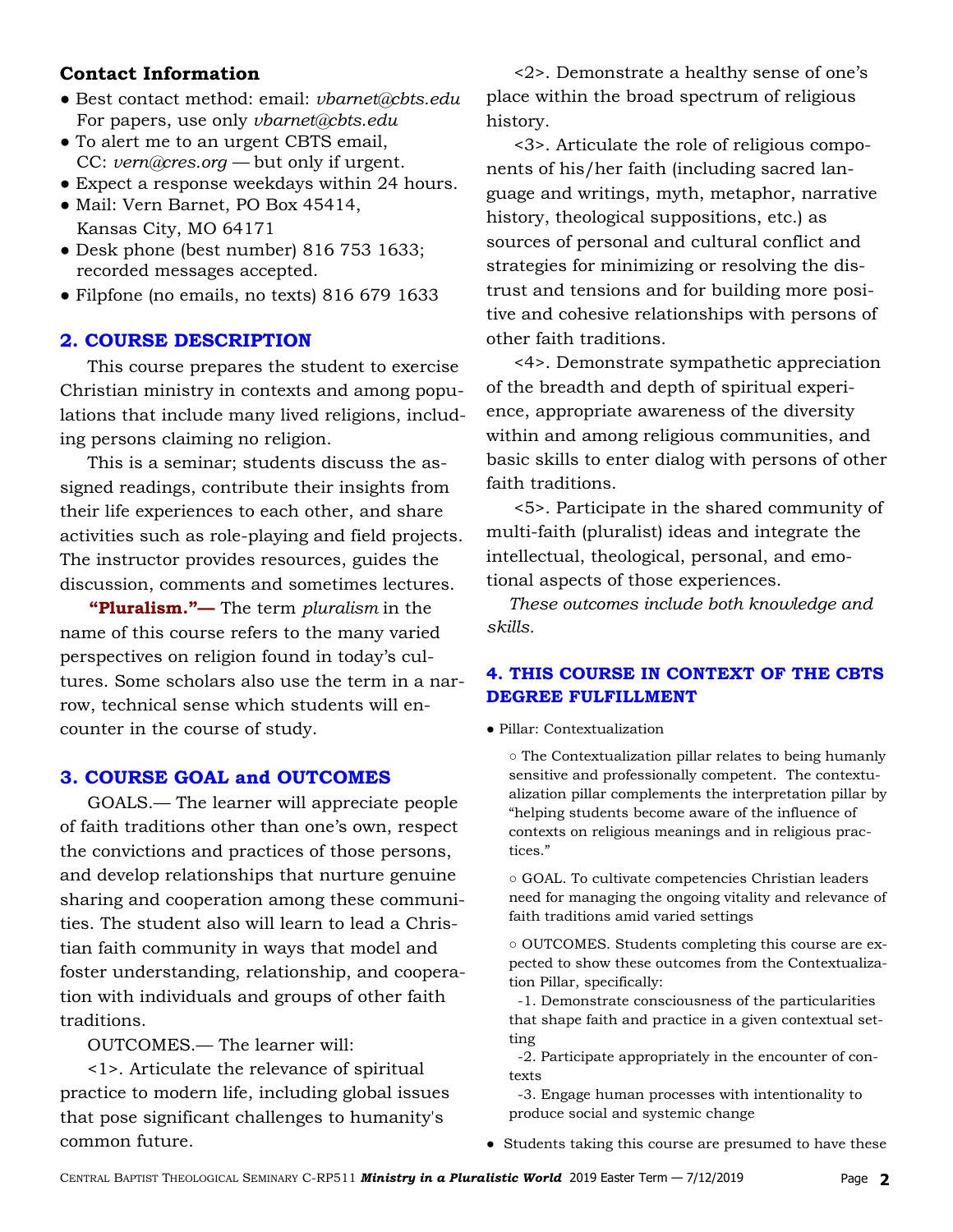# **Contact Information**

- Best contact method: email: *vbarnet@cbts.edu* For papers, use only *vbarnet@cbts.edu*
- To alert me to an urgent CBTS email, CC: *vern@cres.org —* but only if urgent.
- Expect a response weekdays within 24 hours.
- Mail: Vern Barnet, PO Box 45414, Kansas City, MO 64171
- Desk phone (best number) 816 753 1633; recorded messages accepted.
- Filpfone (no emails, no texts) 816 679 1633

### **2. COURSE DESCRIPTION**

 This course prepares the student to exercise Christian ministry in contexts and among populations that include many lived religions, including persons claiming no religion.

 This is a seminar; students discuss the assigned readings, contribute their insights from their life experiences to each other, and share activities such as role-playing and field projects. The instructor provides resources, guides the discussion, comments and sometimes lectures.

 **"Pluralism."—** The term *pluralism* in the name of this course refers to the many varied perspectives on religion found in today's cultures. Some scholars also use the term in a narrow, technical sense which students will encounter in the course of study.

# **3. COURSE GOAL and OUTCOMES**

 GOALS.— The learner will appreciate people of faith traditions other than one's own, respect the convictions and practices of those persons, and develop relationships that nurture genuine sharing and cooperation among these communities. The student also will learn to lead a Christian faith community in ways that model and foster understanding, relationship, and cooperation with individuals and groups of other faith traditions.

OUTCOMES.— The learner will:

 <1>. Articulate the relevance of spiritual practice to modern life, including global issues that pose significant challenges to humanity's common future.

 <2>. Demonstrate a healthy sense of one's place within the broad spectrum of religious history.

 <3>. Articulate the role of religious components of his/her faith (including sacred language and writings, myth, metaphor, narrative history, theological suppositions, etc.) as sources of personal and cultural conflict and strategies for minimizing or resolving the distrust and tensions and for building more positive and cohesive relationships with persons of other faith traditions.

 <4>. Demonstrate sympathetic appreciation of the breadth and depth of spiritual experience, appropriate awareness of the diversity within and among religious communities, and basic skills to enter dialog with persons of other faith traditions.

 <5>. Participate in the shared community of multi-faith (pluralist) ideas and integrate the intellectual, theological, personal, and emotional aspects of those experiences.

 *These outcomes include both knowledge and skills.* 

# **4. THIS COURSE IN CONTEXT OF THE CBTS DEGREE FULFILLMENT**

● Pillar: Contextualization

○ The Contextualization pillar relates to being humanly sensitive and professionally competent. The contextualization pillar complements the interpretation pillar by "helping students become aware of the influence of contexts on religious meanings and in religious practices."

○ GOAL. To cultivate competencies Christian leaders need for managing the ongoing vitality and relevance of faith traditions amid varied settings

○ OUTCOMES. Students completing this course are expected to show these outcomes from the Contextualization Pillar, specifically:

 -1. Demonstrate consciousness of the particularities that shape faith and practice in a given contextual setting

 -2. Participate appropriately in the encounter of contexts

 -3. Engage human processes with intentionality to produce social and systemic change

● Students taking this course are presumed to have these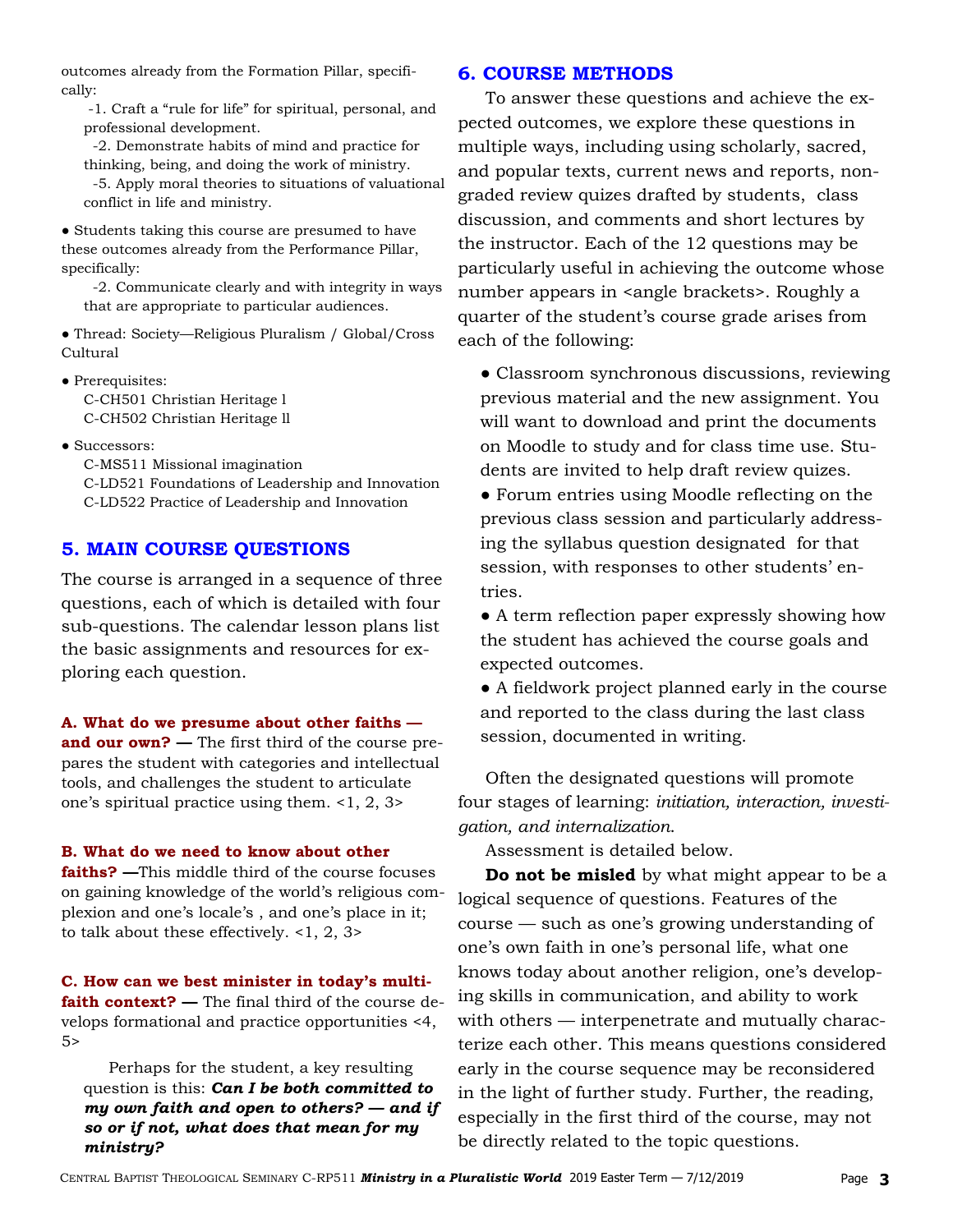outcomes already from the Formation Pillar, specifically:

 -1. Craft a "rule for life" for spiritual, personal, and professional development.

 -2. Demonstrate habits of mind and practice for thinking, being, and doing the work of ministry.

 -5. Apply moral theories to situations of valuational conflict in life and ministry.

● Students taking this course are presumed to have these outcomes already from the Performance Pillar, specifically:

 -2. Communicate clearly and with integrity in ways that are appropriate to particular audiences.

● Thread: Society—Religious Pluralism / Global/Cross Cultural

• Prerequisites: C-CH501 Christian Heritage l C-CH502 Christian Heritage ll

● Successors:

C-MS511 Missional imagination

 C-LD521 Foundations of Leadership and Innovation C-LD522 Practice of Leadership and Innovation

### **5. MAIN COURSE QUESTIONS**

The course is arranged in a sequence of three questions, each of which is detailed with four sub-questions. The calendar lesson plans list the basic assignments and resources for exploring each question.

**A. What do we presume about other faiths and our own? —** The first third of the course prepares the student with categories and intellectual tools, and challenges the student to articulate one's spiritual practice using them. <1, 2, 3>

#### **B. What do we need to know about other**

**faiths? —**This middle third of the course focuses on gaining knowledge of the world's religious complexion and one's locale's , and one's place in it; to talk about these effectively. <1, 2, 3>

**C. How can we best minister in today's multifaith context? —** The final third of the course develops formational and practice opportunities <4, 5>

 Perhaps for the student, a key resulting question is this: *Can I be both committed to my own faith and open to others? — and if so or if not, what does that mean for my ministry?*

### **6. COURSE METHODS**

 To answer these questions and achieve the expected outcomes, we explore these questions in multiple ways, including using scholarly, sacred, and popular texts, current news and reports, nongraded review quizes drafted by students, class discussion, and comments and short lectures by the instructor. Each of the 12 questions may be particularly useful in achieving the outcome whose number appears in <angle brackets>. Roughly a quarter of the student's course grade arises from each of the following:

• Classroom synchronous discussions, reviewing previous material and the new assignment. You will want to download and print the documents on Moodle to study and for class time use. Students are invited to help draft review quizes.

● Forum entries using Moodle reflecting on the previous class session and particularly addressing the syllabus question designated for that session, with responses to other students' entries.

● A term reflection paper expressly showing how the student has achieved the course goals and expected outcomes.

● A fieldwork project planned early in the course and reported to the class during the last class session, documented in writing.

 Often the designated questions will promote four stages of learning: *initiation, interaction, investigation, and internalization*.

Assessment is detailed below.

 **Do not be misled** by what might appear to be a logical sequence of questions. Features of the course — such as one's growing understanding of one's own faith in one's personal life, what one knows today about another religion, one's developing skills in communication, and ability to work with others — interpenetrate and mutually characterize each other. This means questions considered early in the course sequence may be reconsidered in the light of further study. Further, the reading, especially in the first third of the course, may not be directly related to the topic questions.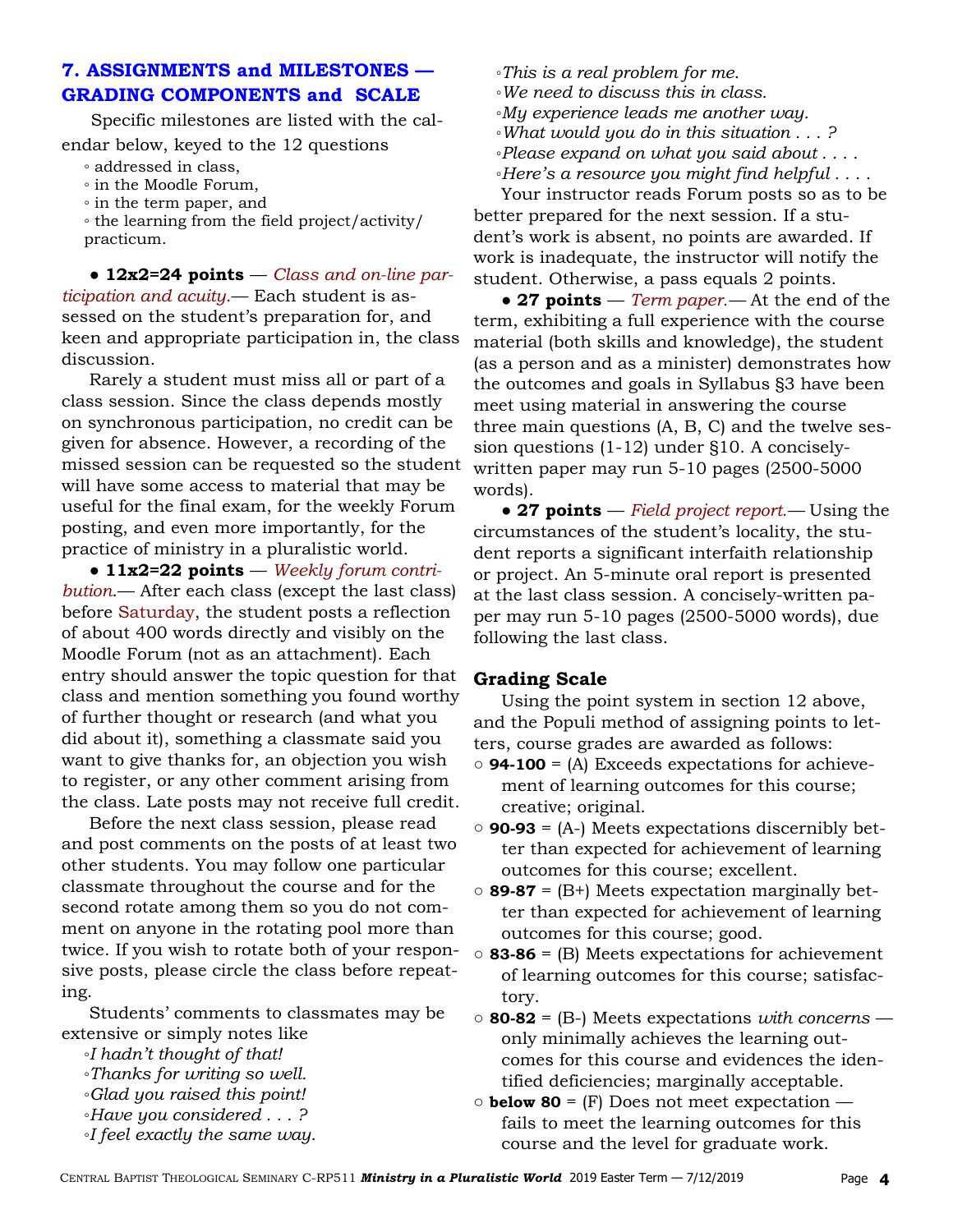# **7. ASSIGNMENTS and MILESTONES — GRADING COMPONENTS and SCALE**

Specific milestones are listed with the calendar below, keyed to the 12 questions

- addressed in class,
- in the Moodle Forum,
- in the term paper, and

◦ the learning from the field project/activity/ practicum.

 ● **12x2=24 points** — *Class and on-line participation and acuity*.— Each student is assessed on the student's preparation for, and keen and appropriate participation in, the class discussion.

 Rarely a student must miss all or part of a class session. Since the class depends mostly on synchronous participation, no credit can be given for absence. However, a recording of the missed session can be requested so the student will have some access to material that may be useful for the final exam, for the weekly Forum posting, and even more importantly, for the practice of ministry in a pluralistic world.

 ● **11x2=22 points** — *Weekly forum contribution*.— After each class (except the last class) before Saturday, the student posts a reflection of about 400 words directly and visibly on the Moodle Forum (not as an attachment). Each entry should answer the topic question for that class and mention something you found worthy of further thought or research (and what you did about it), something a classmate said you want to give thanks for, an objection you wish to register, or any other comment arising from the class. Late posts may not receive full credit.

 Before the next class session, please read and post comments on the posts of at least two other students. You may follow one particular classmate throughout the course and for the second rotate among them so you do not comment on anyone in the rotating pool more than twice. If you wish to rotate both of your responsive posts, please circle the class before repeating.

 Students' comments to classmates may be extensive or simply notes like

- ◦*I hadn't thought of that!*
- ◦*Thanks for writing so well.*
- ◦*Glad you raised this point!*
- ◦*Have you considered . . . ?*
- ◦*I feel exactly the same way.*
- ◦*This is a real problem for me.*
- ◦*We need to discuss this in class.*
- ◦*My experience leads me another way.*
- ◦*What would you do in this situation . . . ?*
- ◦*Please expand on what you said about . . . .*
- ◦*Here's a resource you might find helpful . . . .*

 Your instructor reads Forum posts so as to be better prepared for the next session. If a student's work is absent, no points are awarded. If work is inadequate, the instructor will notify the student. Otherwise, a pass equals 2 points.

 ● **27 points** — *Term paper.—* At the end of the term, exhibiting a full experience with the course material (both skills and knowledge), the student (as a person and as a minister) demonstrates how the outcomes and goals in Syllabus §3 have been meet using material in answering the course three main questions (A, B, C) and the twelve session questions (1-12) under §10. A conciselywritten paper may run 5-10 pages (2500-5000 words).

 ● **27 points** — *Field project report.—* Using the circumstances of the student's locality, the student reports a significant interfaith relationship or project. An 5-minute oral report is presented at the last class session. A concisely-written paper may run 5-10 pages (2500-5000 words), due following the last class.

### **Grading Scale**

 Using the point system in section 12 above, and the Populi method of assigning points to letters, course grades are awarded as follows:

- **○ 94-100** = (A) Exceeds expectations for achievement of learning outcomes for this course; creative; original.
- **○ 90-93** = (A-) Meets expectations discernibly better than expected for achievement of learning outcomes for this course; excellent.
- **○ 89-87** = (B+) Meets expectation marginally better than expected for achievement of learning outcomes for this course; good.
- **○ 83-86** = (B) Meets expectations for achievement of learning outcomes for this course; satisfactory.
- **○ 80-82** = (B-) Meets expectations *with concerns*  only minimally achieves the learning outcomes for this course and evidences the identified deficiencies; marginally acceptable.
- **○ below 80** = (F) Does not meet expectation fails to meet the learning outcomes for this course and the level for graduate work.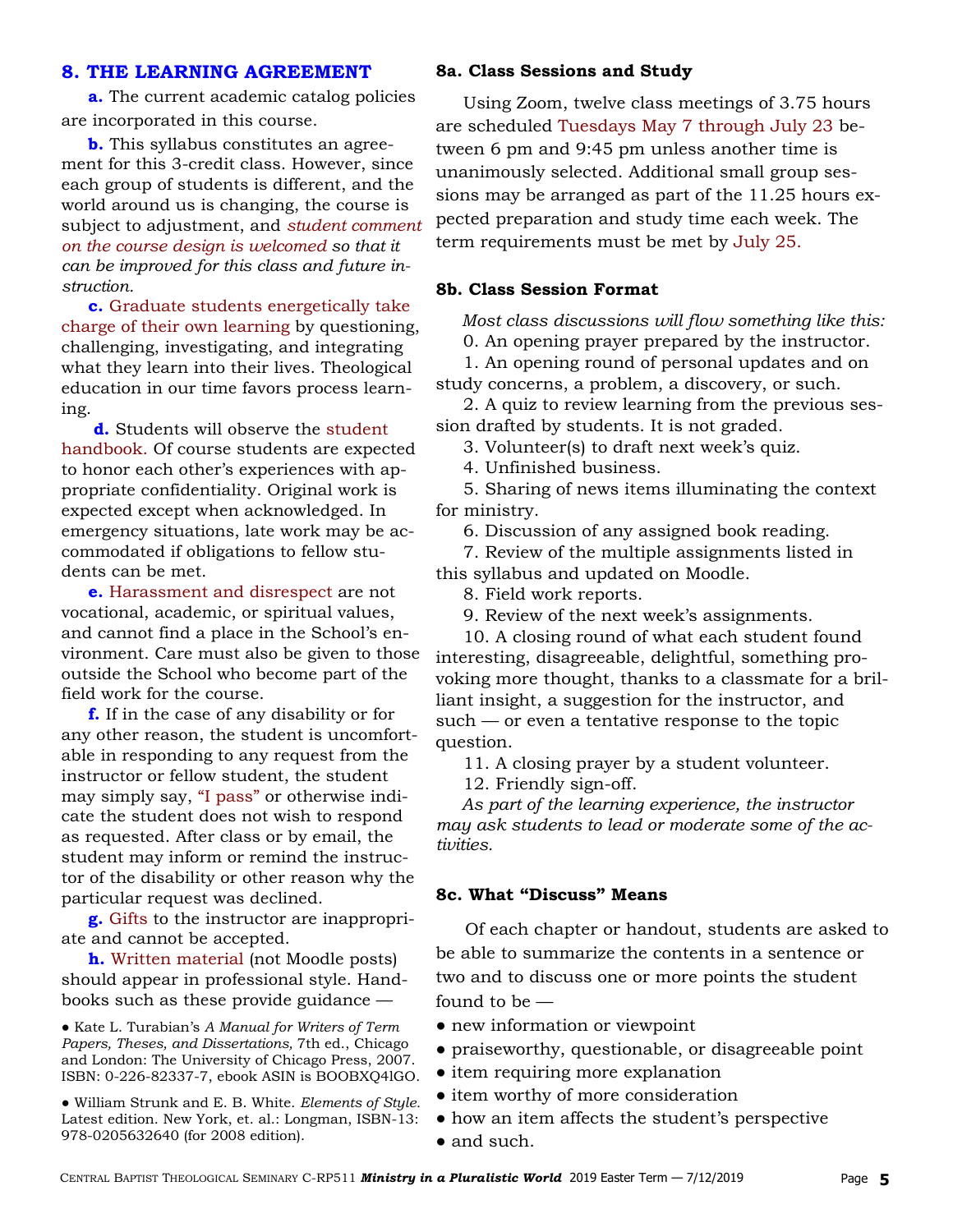### **8. THE LEARNING AGREEMENT**

 **a.** The current academic catalog policies are incorporated in this course.

 **b.** This syllabus constitutes an agreement for this 3-credit class. However, since each group of students is different, and the world around us is changing, the course is subject to adjustment, and *student comment on the course design is welcomed so that it can be improved for this class and future instruction.* 

 **c.** Graduate students energetically take charge of their own learning by questioning, challenging, investigating, and integrating what they learn into their lives. Theological education in our time favors process learning.

 **d.** Students will observe the student handbook. Of course students are expected to honor each other's experiences with appropriate confidentiality. Original work is expected except when acknowledged. In emergency situations, late work may be accommodated if obligations to fellow students can be met.

 **e.** Harassment and disrespect are not vocational, academic, or spiritual values, and cannot find a place in the School's environment. Care must also be given to those outside the School who become part of the field work for the course.

 **f.** If in the case of any disability or for any other reason, the student is uncomfortable in responding to any request from the instructor or fellow student, the student may simply say, "I pass" or otherwise indicate the student does not wish to respond as requested. After class or by email, the student may inform or remind the instructor of the disability or other reason why the particular request was declined.

 **g.** Gifts to the instructor are inappropriate and cannot be accepted.

 **h.** Written material (not Moodle posts) should appear in professional style. Handbooks such as these provide guidance —

● Kate L. Turabian's *A Manual for Writers of Term Papers, Theses, and Dissertations,* 7th ed., Chicago and London: The University of Chicago Press, 2007. ISBN: 0-226-82337-7, ebook ASIN is BOOBXQ4lGO.

● William Strunk and E. B. White. *Elements of Style.* Latest edition. New York, et. al.: Longman, ISBN-13: 978-0205632640 (for 2008 edition).

#### **8a. Class Sessions and Study**

 Using Zoom, twelve class meetings of 3.75 hours are scheduled Tuesdays May 7 through July 23 between 6 pm and 9:45 pm unless another time is unanimously selected. Additional small group sessions may be arranged as part of the 11.25 hours expected preparation and study time each week. The term requirements must be met by July 25.

### **8b. Class Session Format**

 *Most class discussions will flow something like this:*  0. An opening prayer prepared by the instructor.

 1. An opening round of personal updates and on study concerns, a problem, a discovery, or such.

 2. A quiz to review learning from the previous session drafted by students. It is not graded.

3. Volunteer(s) to draft next week's quiz.

4. Unfinished business.

 5. Sharing of news items illuminating the context for ministry.

6. Discussion of any assigned book reading.

 7. Review of the multiple assignments listed in this syllabus and updated on Moodle.

8. Field work reports.

9. Review of the next week's assignments.

 10. A closing round of what each student found interesting, disagreeable, delightful, something provoking more thought, thanks to a classmate for a brilliant insight, a suggestion for the instructor, and such — or even a tentative response to the topic question.

11. A closing prayer by a student volunteer.

12. Friendly sign-off.

 *As part of the learning experience, the instructor may ask students to lead or moderate some of the activities.* 

### **8c. What "Discuss" Means**

Of each chapter or handout, students are asked to be able to summarize the contents in a sentence or two and to discuss one or more points the student found to be —

● new information or viewpoint

- praiseworthy, questionable, or disagreeable point
- item requiring more explanation
- item worthy of more consideration
- how an item affects the student's perspective
- and such.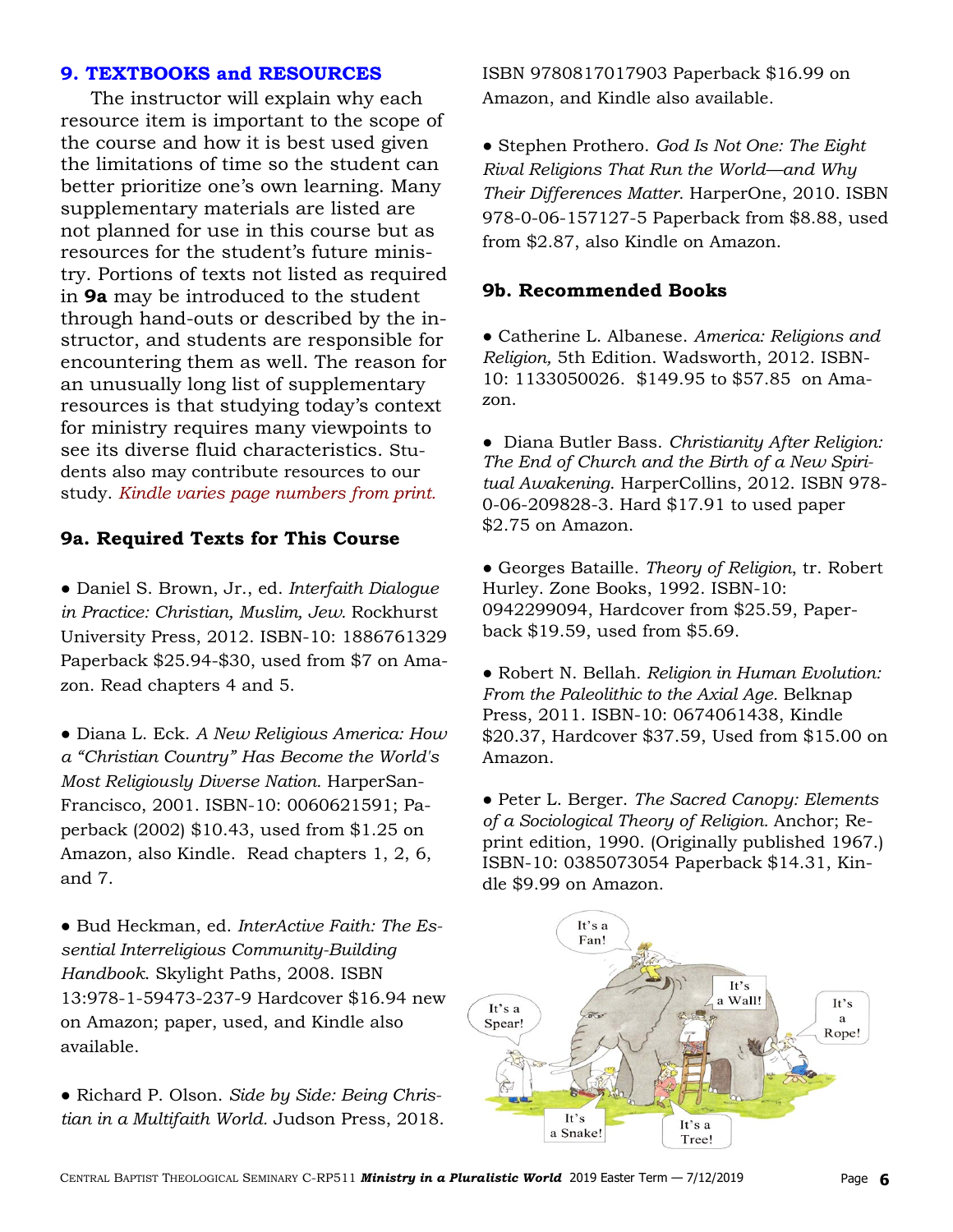### **9. TEXTBOOKS and RESOURCES**

 The instructor will explain why each resource item is important to the scope of the course and how it is best used given the limitations of time so the student can better prioritize one's own learning. Many supplementary materials are listed are not planned for use in this course but as resources for the student's future ministry. Portions of texts not listed as required in **9a** may be introduced to the student through hand-outs or described by the instructor, and students are responsible for encountering them as well. The reason for an unusually long list of supplementary resources is that studying today's context for ministry requires many viewpoints to see its diverse fluid characteristics. Students also may contribute resources to our study. *Kindle varies page numbers from print.*

# **9a. Required Texts for This Course**

● Daniel S. Brown, Jr., ed. *Interfaith Dialogue in Practice: Christian, Muslim, Jew.* Rockhurst University Press, 2012. ISBN-10: 1886761329 Paperback \$25.94-\$30, used from \$7 on Amazon. Read chapters 4 and 5.

● Diana L. Eck. *A New Religious America: How a "Christian Country" Has Become the World's Most Religiously Diverse Nation.* HarperSan-Francisco, 2001. ISBN-10: 0060621591; Paperback (2002) \$10.43, used from \$1.25 on Amazon, also Kindle. Read chapters 1, 2, 6, and 7.

● Bud Heckman, ed. *InterActive Faith: The Essential Interreligious Community-Building Handbook*. Skylight Paths, 2008. ISBN 13:978-1-59473-237-9 Hardcover \$16.94 new on Amazon; paper, used, and Kindle also available.

● Richard P. Olson. *Side by Side: Being Christian in a Multifaith World.* Judson Press, 2018. ISBN 9780817017903 Paperback \$16.99 on Amazon, and Kindle also available.

● Stephen Prothero. *God Is Not One: The Eight Rival Religions That Run the World—and Why Their Differences Matter.* HarperOne, 2010. ISBN 978-0-06-157127-5 Paperback from \$8.88, used from \$2.87, also Kindle on Amazon.

### **9b. Recommended Books**

● Catherine L. Albanese. *America: Religions and Religion,* 5th Edition. Wadsworth, 2012. ISBN-10: 1133050026. \$149.95 to \$57.85 on Amazon.

● Diana Butler Bass. *Christianity After Religion: The End of Church and the Birth of a New Spiritual Awakening*. HarperCollins, 2012. ISBN 978- 0-06-209828-3. Hard \$17.91 to used paper \$2.75 on Amazon.

● Georges Bataille. *Theory of Religion*, tr. Robert Hurley. Zone Books, 1992. ISBN-10: 0942299094, Hardcover from \$25.59, Paperback \$19.59, used from \$5.69.

● Robert N. Bellah*. Religion in Human Evolution: From the Paleolithic to the Axial Age.* Belknap Press, 2011. ISBN-10: 0674061438, Kindle \$20.37, Hardcover \$37.59, Used from \$15.00 on Amazon.

● Peter L. Berger. *The Sacred Canopy: Elements of a Sociological Theory of Religion.* Anchor; Reprint edition, 1990. (Originally published 1967.) ISBN-10: 0385073054 Paperback \$14.31, Kindle \$9.99 on Amazon.

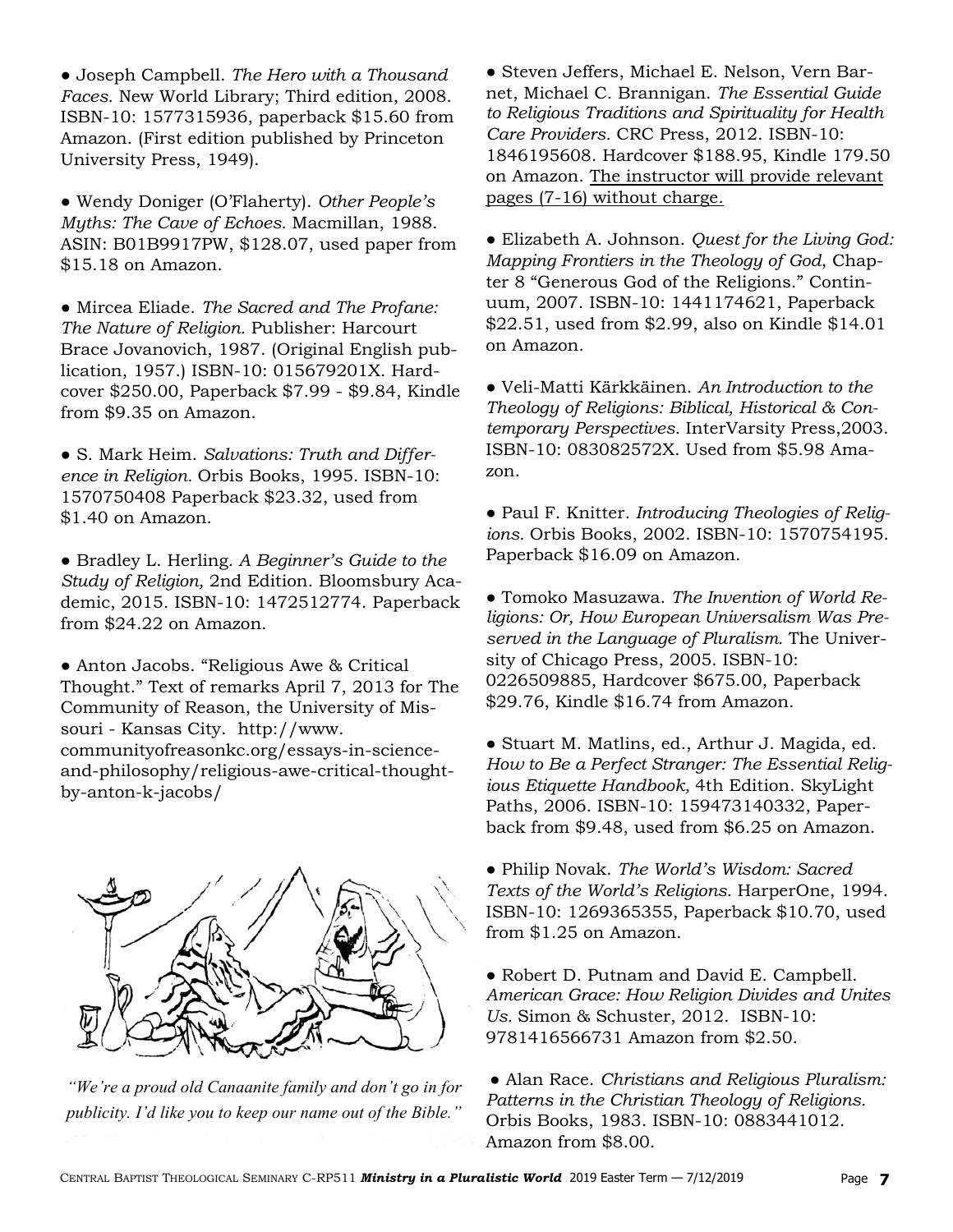● Joseph Campbell. *The Hero with a Thousand Faces.* New World Library; Third edition, 2008. ISBN-10: 1577315936, paperback \$15.60 from Amazon. (First edition published by Princeton University Press, 1949).

● Wendy Doniger (O'Flaherty). *Other People's Myths: The Cave of Echoes.* Macmillan, 1988. ASIN: B01B9917PW, \$128.07, used paper from \$15.18 on Amazon.

● Mircea Eliade. *The Sacred and The Profane: The Nature of Religion.* Publisher: Harcourt Brace Jovanovich, 1987. (Original English publication, 1957.) ISBN-10: 015679201X. Hardcover \$250.00, Paperback \$7.99 - \$9.84, Kindle from \$9.35 on Amazon.

● S. Mark Heim. *Salvations: Truth and Difference in Religion.* Orbis Books, 1995. ISBN-10: 1570750408 Paperback \$23.32, used from \$1.40 on Amazon.

● Bradley L. Herling*. A Beginner's Guide to the Study of Religion,* 2nd Edition. Bloomsbury Academic, 2015. ISBN-10: 1472512774. Paperback from \$24.22 on Amazon.

● Anton Jacobs. "Religious Awe & Critical Thought." Text of remarks April 7, 2013 for The Community of Reason, the University of Missouri - Kansas City. http://www. communityofreasonkc.org/essays-in-scienceand-philosophy/religious-awe-critical-thoughtby-anton-k-jacobs/



*"We're a proud old Canaanite family and don't go in for publicity. I'd like you to keep our name out of the Bible."* 

● Steven Jeffers, Michael E. Nelson, Vern Barnet, Michael C. Brannigan. *The Essential Guide to Religious Traditions and Spirituality for Health Care Providers.* CRC Press, 2012. ISBN-10: 1846195608. Hardcover \$188.95, Kindle 179.50 on Amazon. The instructor will provide relevant pages (7-16) without charge.

● Elizabeth A. Johnson. *Quest for the Living God: Mapping Frontiers in the Theology of God*, Chapter 8 "Generous God of the Religions." Continuum, 2007. ISBN-10: 1441174621, Paperback \$22.51, used from \$2.99, also on Kindle \$14.01 on Amazon.

● Veli-Matti Kärkkäinen. *An Introduction to the Theology of Religions: Biblical, Historical & Contemporary Perspectives.* InterVarsity Press,2003. ISBN-10: 083082572X. Used from \$5.98 Amazon.

● Paul F. Knitter. *Introducing Theologies of Religions.* Orbis Books, 2002. ISBN-10: 1570754195. Paperback \$16.09 on Amazon.

● Tomoko Masuzawa. *The Invention of World Religions: Or, How European Universalism Was Preserved in the Language of Pluralism.* The University of Chicago Press, 2005. ISBN-10: 0226509885, Hardcover \$675.00, Paperback \$29.76, Kindle \$16.74 from Amazon.

● Stuart M. Matlins, ed., Arthur J. Magida, ed. *How to Be a Perfect Stranger: The Essential Religious Etiquette Handbook,* 4th Edition. SkyLight Paths, 2006. ISBN-10: 159473140332, Paperback from \$9.48, used from \$6.25 on Amazon.

● Philip Novak. *The World's Wisdom: Sacred Texts of the World's Religions.* HarperOne, 1994. ISBN-10: 1269365355, Paperback \$10.70, used from \$1.25 on Amazon.

● Robert D. Putnam and David E. Campbell. *American Grace: How Religion Divides and Unites Us.* Simon & Schuster, 2012. ISBN-10: 9781416566731 Amazon from \$2.50.

● Alan Race. *Christians and Religious Pluralism: Patterns in the Christian Theology of Religions.*  Orbis Books, 1983. ISBN-10: 0883441012. Amazon from \$8.00.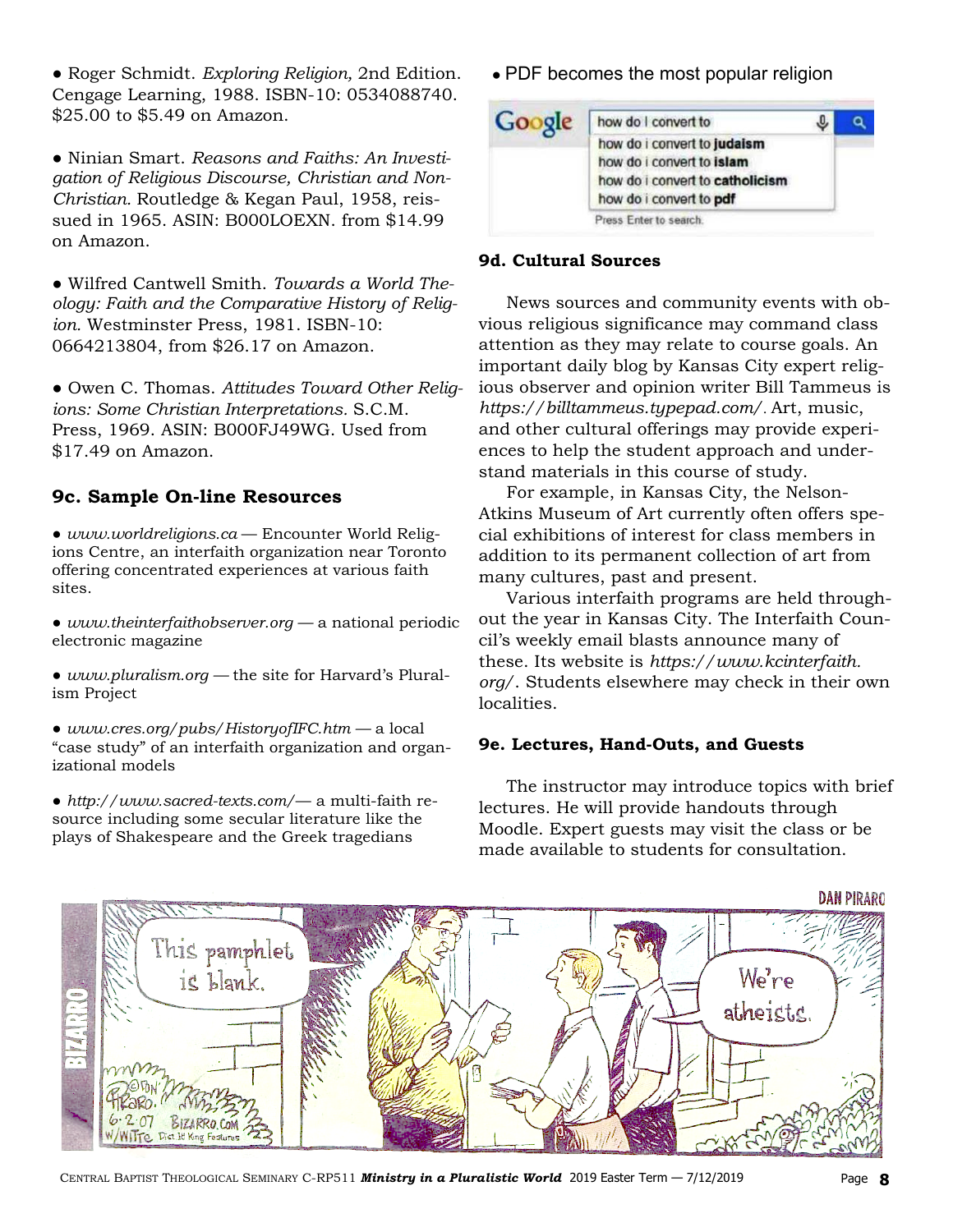● Roger Schmidt. *Exploring Religion,* 2nd Edition. Cengage Learning, 1988. ISBN-10: 0534088740. \$25.00 to \$5.49 on Amazon.

● Ninian Smart. *Reasons and Faiths: An Investigation of Religious Discourse, Christian and Non-Christian.* Routledge & Kegan Paul, 1958, reissued in 1965. ASIN: B000LOEXN. from \$14.99 on Amazon.

● Wilfred Cantwell Smith. *Towards a World Theology: Faith and the Comparative History of Religion.* Westminster Press, 1981. ISBN-10: 0664213804, from \$26.17 on Amazon.

● Owen C. Thomas. *Attitudes Toward Other Religions: Some Christian Interpretations.* S.C.M. Press, 1969. ASIN: B000FJ49WG. Used from \$17.49 on Amazon.

# **9c. Sample On-line Resources**

● *www.worldreligions.ca* — Encounter World Religions Centre, an interfaith organization near Toronto offering concentrated experiences at various faith sites.

● *www.theinterfaithobserver.org —* a national periodic electronic magazine

● *www.pluralism.org —* the site for Harvard's Pluralism Project

● *www.cres.org/pubs/HistoryofIFC.htm —* a local "case study" of an interfaith organization and organizational models

● *http://www.sacred-texts.com/*— a multi-faith resource including some secular literature like the plays of Shakespeare and the Greek tragedians

• PDF becomes the most popular religion

| Google | how do I convert to                                          |  |
|--------|--------------------------------------------------------------|--|
|        | how do i convert to judaism                                  |  |
|        | how do i convert to islam<br>how do i convert to catholicism |  |
|        | how do i convert to pdf                                      |  |
|        | Press Enter to search.                                       |  |

### **9d. Cultural Sources**

 News sources and community events with obvious religious significance may command class attention as they may relate to course goals. An important daily blog by Kansas City expert religious observer and opinion writer Bill Tammeus is *https://billtammeus.typepad.com/*. Art, music, and other cultural offerings may provide experiences to help the student approach and understand materials in this course of study.

 For example, in Kansas City, the Nelson-Atkins Museum of Art currently often offers special exhibitions of interest for class members in addition to its permanent collection of art from many cultures, past and present.

 Various interfaith programs are held throughout the year in Kansas City. The Interfaith Council's weekly email blasts announce many of these. Its website is *https://www.kcinterfaith. org/*. Students elsewhere may check in their own localities.

### **9e. Lectures, Hand-Outs, and Guests**

 The instructor may introduce topics with brief lectures. He will provide handouts through Moodle. Expert guests may visit the class or be made available to students for consultation.



CENTRAL BAPTIST THEOLOGICAL SEMINARY C-RP511 *Ministry in a Pluralistic World* 2019 Easter Term - 7/12/2019